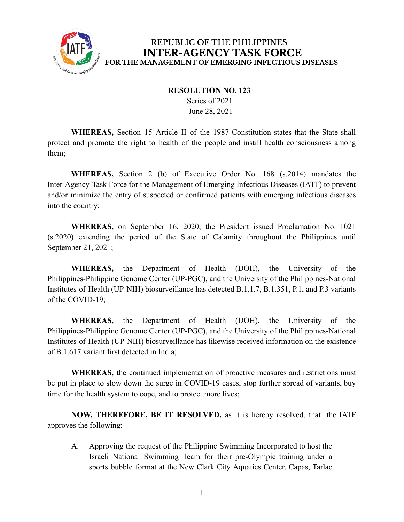

## REPUBLIC OF THE PHILIPPINES **INTER-AGENCY TASK FORCE** FOR THE MANAGEMENT OF EMERGING INFECTIOUS DISEASES

## **RESOLUTION NO. 123**

Series of 2021 June 28, 2021

**WHEREAS,** Section 15 Article II of the 1987 Constitution states that the State shall protect and promote the right to health of the people and instill health consciousness among them;

**WHEREAS,** Section 2 (b) of Executive Order No. 168 (s.2014) mandates the Inter-Agency Task Force for the Management of Emerging Infectious Diseases (IATF) to prevent and/or minimize the entry of suspected or confirmed patients with emerging infectious diseases into the country;

**WHEREAS,** on September 16, 2020, the President issued Proclamation No. 1021 (s.2020) extending the period of the State of Calamity throughout the Philippines until September 21, 2021;

**WHEREAS,** the Department of Health (DOH), the University of the Philippines-Philippine Genome Center (UP-PGC), and the University of the Philippines-National Institutes of Health (UP-NIH) biosurveillance has detected B.1.1.7, B.1.351, P.1, and P.3 variants of the COVID-19;

**WHEREAS,** the Department of Health (DOH), the University of the Philippines-Philippine Genome Center (UP-PGC), and the University of the Philippines-National Institutes of Health (UP-NIH) biosurveillance has likewise received information on the existence of B.1.617 variant first detected in India;

**WHEREAS,** the continued implementation of proactive measures and restrictions must be put in place to slow down the surge in COVID-19 cases, stop further spread of variants, buy time for the health system to cope, and to protect more lives;

**NOW, THEREFORE, BE IT RESOLVED,** as it is hereby resolved, that the IATF approves the following:

A. Approving the request of the Philippine Swimming Incorporated to host the Israeli National Swimming Team for their pre-Olympic training under a sports bubble format at the New Clark City Aquatics Center, Capas, Tarlac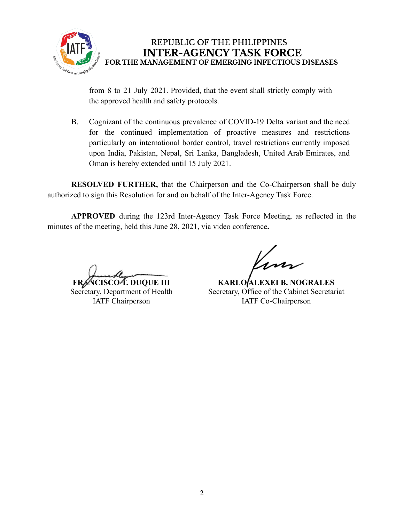

REPUBLIC OF THE PHILIPPINES **INTER-AGENCY TASK FORCE** FOR THE MANAGEMENT OF EMERGING INFECTIOUS DISEASES

from 8 to 21 July 2021. Provided, that the event shall strictly comply with the approved health and safety protocols.

B. Cognizant of the continuous prevalence of COVID-19 Delta variant and the need for the continued implementation of proactive measures and restrictions particularly on international border control, travel restrictions currently imposed upon India, Pakistan, Nepal, Sri Lanka, Bangladesh, United Arab Emirates, and Oman is hereby extended until 15 July 2021.

**RESOLVED FURTHER,** that the Chairperson and the Co-Chairperson shall be duly authorized to sign this Resolution for and on behalf of the Inter-Agency Task Force.

**APPROVED** during the 123rd Inter-Agency Task Force Meeting, as reflected in the minutes of the meeting, held this June 28, 2021, via video conference**.**

**FRANCISCO T. DUQUE III**

Secretary, Department of Health IATF Chairperson

**KARLO ALEXEI B. NOGRALES** Secretary, Office of the Cabinet Secretariat IATF Co-Chairperson